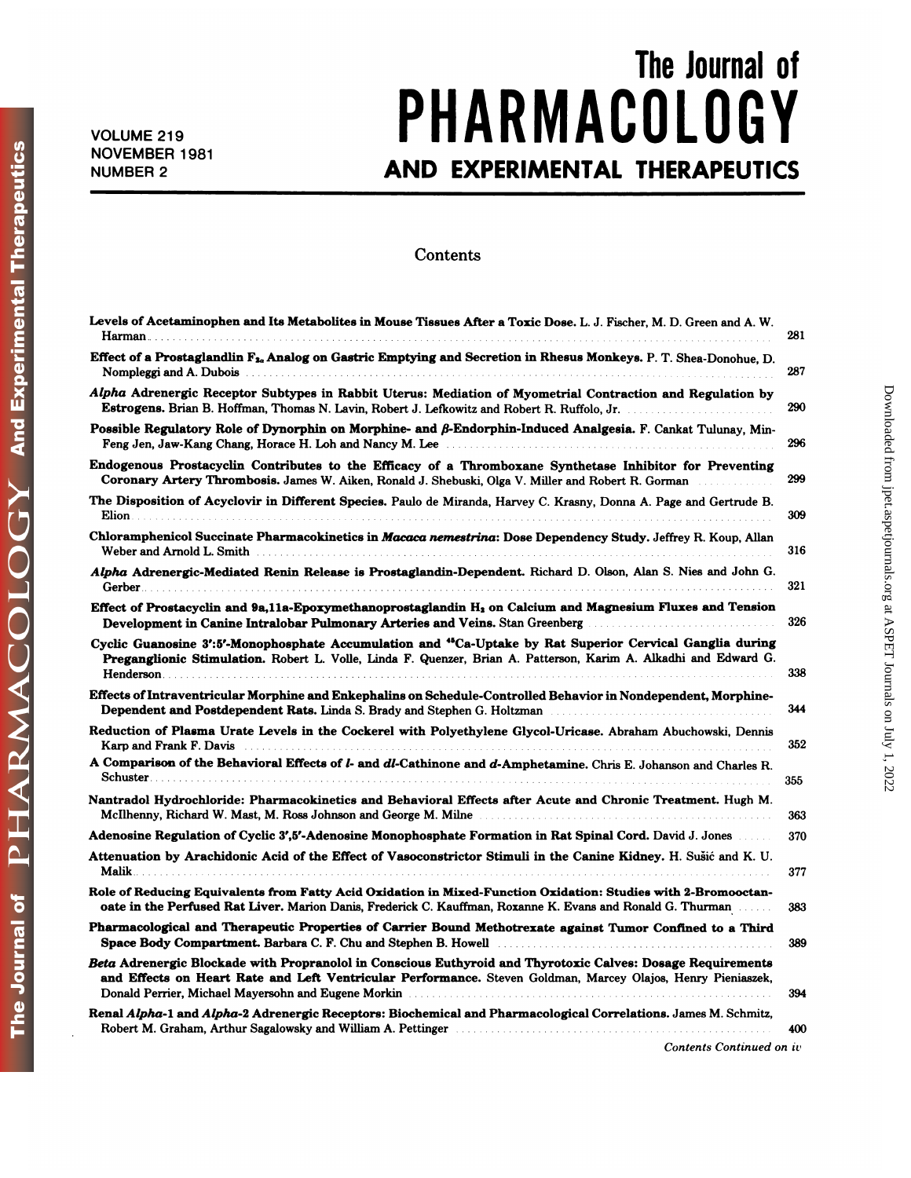## The Journal of<br>
n | n c Y VOLUME 219 **PHARMACULUGY** The Journal of<br>
NOLUME 219<br>
NOVEMBER 1981<br>
AND EXPERIMENTAL THERAPEUTICS

## **Contents**

| coments                                                                                                                                                                                                                                                                                                                                               |     |
|-------------------------------------------------------------------------------------------------------------------------------------------------------------------------------------------------------------------------------------------------------------------------------------------------------------------------------------------------------|-----|
| Levels of Acetaminophen and Its Metabolites in Mouse Tissues After a Toxic Dose. L. J. Fischer, M. D. Green and A. W.                                                                                                                                                                                                                                 | 281 |
| Effect of a Prostaglandlin F <sub>2</sub> , Analog on Gastric Emptying and Secretion in Rhesus Monkeys. P. T. Shea-Donohue, D.                                                                                                                                                                                                                        | 287 |
| Alpha Adrenergic Receptor Subtypes in Rabbit Uterus: Mediation of Myometrial Contraction and Regulation by                                                                                                                                                                                                                                            | 290 |
| Possible Regulatory Role of Dynorphin on Morphine- and $\beta$ -Endorphin-Induced Analgesia. F. Cankat Tulunay, Min-<br>Feng Jen, Jaw-Kang Chang, Horace H. Loh and Nancy M. Lee [11] Many M. Lee [11] Many Jen, Jaw-Kang Chang, Horace H. Loh and Nancy M. Lee [11] Many Jensens and Many Jensens and Many Jensens and Many Jensens and Many Jensens | 296 |
| Endogenous Prostacyclin Contributes to the Efficacy of a Thromboxane Synthetase Inhibitor for Preventing<br>Coronary Artery Thrombosis. James W. Aiken, Ronald J. Shebuski, Olga V. Miller and Robert R. Gorman                                                                                                                                       | 299 |
| The Disposition of Acyclovir in Different Species. Paulo de Miranda, Harvey C. Krasny, Donna A. Page and Gertrude B.<br>Elion                                                                                                                                                                                                                         | 309 |
| Chloramphenicol Succinate Pharmacokinetics in Macaca nemestrina: Dose Dependency Study. Jeffrey R. Koup, Allan<br>Weber and Arnold L. Smith <b>Music and Arnold L. Smith Music Article Contract Contract Arnold L. Smith</b>                                                                                                                          | 316 |
| Alpha Adrenergic-Mediated Renin Release is Prostaglandin-Dependent. Richard D. Olson, Alan S. Nies and John G.<br>Gerber                                                                                                                                                                                                                              | 321 |
| Effect of Prostacyclin and 9a,11a-Epoxymethanoprostaglandin H <sub>1</sub> on Calcium and Magnesium Fluxes and Tension<br>Development in Canine Intralobar Pulmonary Arteries and Veins. Stan Greenberg                                                                                                                                               | 326 |
| Cyclic Guanosine 3':5'-Monophosphate Accumulation and "Ca-Uptake by Rat Superior Cervical Ganglia during<br>Preganglionic Stimulation. Robert L. Volle, Linda F. Quenzer, Brian A. Patterson, Karim A. Alkadhi and Edward G.                                                                                                                          | 338 |
| Effects of Intraventricular Morphine and Enkephalins on Schedule-Controlled Behavior in Nondependent, Morphine-<br>Dependent and Postdependent Rats. Linda S. Brady and Stephen G. Holtzman Mathematics and Postdependent Rats. Linda S. Brady and Stephen G. Holtzman                                                                                | 344 |
| Reduction of Plasma Urate Levels in the Cockerel with Polyethylene Glycol-Uricase. Abraham Abuchowski, Dennis                                                                                                                                                                                                                                         | 352 |
| A Comparison of the Behavioral Effects of <i>l</i> - and <i>dl</i> -Cathinone and <i>d</i> -Amphetamine. Chris E. Johanson and Charles R.                                                                                                                                                                                                             | 355 |
| Nantradol Hydrochloride: Pharmacokinetics and Behavioral Effects after Acute and Chronic Treatment. Hugh M.<br>McIlhenny, Richard W. Mast, M. Ross Johnson and George M. Milne                                                                                                                                                                        | 363 |
| Adenosine Regulation of Cyclic 3'.5'-Adenosine Monophosphate Formation in Rat Spinal Cord. David J. Jones                                                                                                                                                                                                                                             | 370 |
| Attenuation by Arachidonic Acid of the Effect of Vasoconstrictor Stimuli in the Canine Kidney. H. Sušić and K. U.                                                                                                                                                                                                                                     | 377 |
| Role of Reducing Equivalents from Fatty Acid Oxidation in Mixed-Function Oxidation: Studies with 2-Bromooctan-<br>oate in the Perfused Rat Liver. Marion Danis, Frederick C. Kauffman, Roxanne K. Evans and Ronald G. Thurman                                                                                                                         | 383 |
| Pharmacological and Therapeutic Properties of Carrier Bound Methotrexate against Tumor Confined to a Third<br>Space Body Compartment. Barbara C. F. Chu and Stephen B. Howell <b>Election Comparent Property</b> Comparent Property                                                                                                                   | 389 |
| Beta Adrenergic Blockade with Propranolol in Conscious Euthyroid and Thyrotoxic Calves: Dosage Requirements<br>and Effects on Heart Rate and Left Ventricular Performance. Steven Goldman, Marcey Olajos, Henry Pieniaszek,                                                                                                                           | 394 |
| Renal Alpha-1 and Alpha-2 Adrenergic Receptors: Biochemical and Pharmacological Correlations. James M. Schmitz,<br>Robert M. Graham, Arthur Sagalowsky and William A. Pettinger Mathematics and William A. Pettinger Mathematics                                                                                                                      | 400 |
| Contents Continued on iv                                                                                                                                                                                                                                                                                                                              |     |